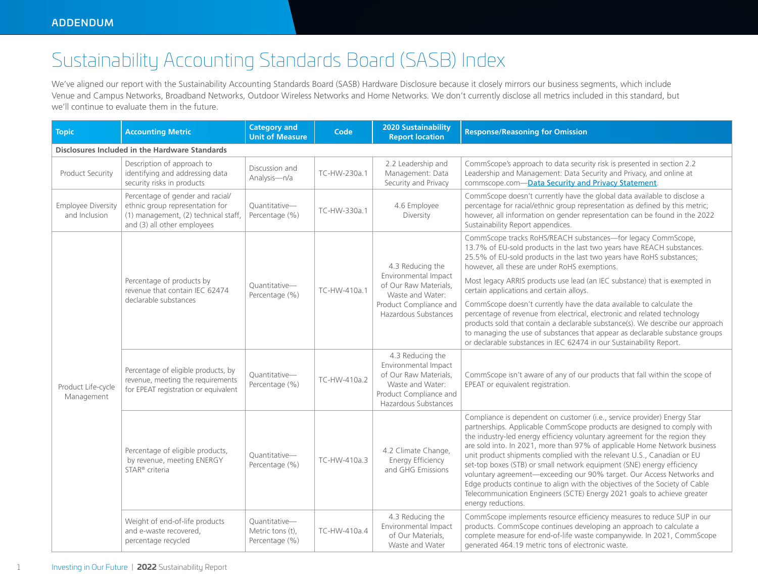## Sustainability Accounting Standards Board (SASB) Index

We've aligned our report with the Sustainability Accounting Standards Board (SASB) Hardware Disclosure because it closely mirrors our business segments, which include Venue and Campus Networks, Broadband Networks, Outdoor Wireless Networks and Home Networks. We don't currently disclose all metrics included in this standard, but we'll continue to evaluate them in the future.

| <b>Topic</b>                                          | <b>Accounting Metric</b>                                                                                                                   | <b>Category and</b><br><b>Unit of Measure</b>       | Code         | <b>2020 Sustainability</b><br><b>Report location</b>                                                                                    | <b>Response/Reasoning for Omission</b>                                                                                                                                                                                                                                                                                                                                                                                                                                                                                                                                                                                                                                                                                      |  |  |
|-------------------------------------------------------|--------------------------------------------------------------------------------------------------------------------------------------------|-----------------------------------------------------|--------------|-----------------------------------------------------------------------------------------------------------------------------------------|-----------------------------------------------------------------------------------------------------------------------------------------------------------------------------------------------------------------------------------------------------------------------------------------------------------------------------------------------------------------------------------------------------------------------------------------------------------------------------------------------------------------------------------------------------------------------------------------------------------------------------------------------------------------------------------------------------------------------------|--|--|
| <b>Disclosures Included in the Hardware Standards</b> |                                                                                                                                            |                                                     |              |                                                                                                                                         |                                                                                                                                                                                                                                                                                                                                                                                                                                                                                                                                                                                                                                                                                                                             |  |  |
| Product Security                                      | Description of approach to<br>identifying and addressing data<br>security risks in products                                                | Discussion and<br>Analysis-n/a                      | TC-HW-230a.1 | 2.2 Leadership and<br>Management: Data<br>Security and Privacy                                                                          | CommScope's approach to data security risk is presented in section 2.2<br>Leadership and Management: Data Security and Privacy, and online at<br>commscope.com-Data Security and Privacy Statement.                                                                                                                                                                                                                                                                                                                                                                                                                                                                                                                         |  |  |
| <b>Employee Diversity</b><br>and Inclusion            | Percentage of gender and racial/<br>ethnic group representation for<br>(1) management, (2) technical staff,<br>and (3) all other employees | Ouantitative-<br>Percentage (%)                     | TC-HW-330a.1 | 4.6 Employee<br>Diversity                                                                                                               | CommScope doesn't currently have the global data available to disclose a<br>percentage for racial/ethnic group representation as defined by this metric;<br>however, all information on gender representation can be found in the 2022<br>Sustainability Report appendices.                                                                                                                                                                                                                                                                                                                                                                                                                                                 |  |  |
| Product Life-cycle<br>Management                      | Percentage of products by<br>revenue that contain IEC 62474<br>declarable substances                                                       | Quantitative-<br>Percentage (%)                     | TC-HW-410a.1 | 4.3 Reducing the<br>Environmental Impact<br>of Our Raw Materials,<br>Waste and Water:<br>Product Compliance and<br>Hazardous Substances | CommScope tracks RoHS/REACH substances-for legacy CommScope,<br>13.7% of EU-sold products in the last two years have REACH substances.<br>25.5% of EU-sold products in the last two years have RoHS substances;<br>however, all these are under RoHS exemptions.                                                                                                                                                                                                                                                                                                                                                                                                                                                            |  |  |
|                                                       |                                                                                                                                            |                                                     |              |                                                                                                                                         | Most legacy ARRIS products use lead (an IEC substance) that is exempted in<br>certain applications and certain alloys.                                                                                                                                                                                                                                                                                                                                                                                                                                                                                                                                                                                                      |  |  |
|                                                       |                                                                                                                                            |                                                     |              |                                                                                                                                         | CommScope doesn't currently have the data available to calculate the<br>percentage of revenue from electrical, electronic and related technology<br>products sold that contain a declarable substance(s). We describe our approach<br>to managing the use of substances that appear as declarable substance groups<br>or declarable substances in IEC 62474 in our Sustainability Report.                                                                                                                                                                                                                                                                                                                                   |  |  |
|                                                       | Percentage of eligible products, by<br>revenue, meeting the requirements<br>for EPEAT registration or equivalent                           | Quantitative-<br>Percentage (%)                     | TC-HW-410a.2 | 4.3 Reducing the<br>Environmental Impact<br>of Our Raw Materials,<br>Waste and Water:<br>Product Compliance and<br>Hazardous Substances | CommScope isn't aware of any of our products that fall within the scope of<br>EPEAT or equivalent registration.                                                                                                                                                                                                                                                                                                                                                                                                                                                                                                                                                                                                             |  |  |
|                                                       | Percentage of eligible products,<br>by revenue, meeting ENERGY<br>STAR <sup>®</sup> criteria                                               | Quantitative-<br>Percentage (%)                     | TC-HW-410a.3 | 4.2 Climate Change,<br>Energy Efficiency<br>and GHG Emissions                                                                           | Compliance is dependent on customer (i.e., service provider) Energy Star<br>partnerships. Applicable CommScope products are designed to comply with<br>the industry-led energy efficiency voluntary agreement for the region they<br>are sold into. In 2021, more than 97% of applicable Home Network business<br>unit product shipments complied with the relevant U.S., Canadian or EU<br>set-top boxes (STB) or small network equipment (SNE) energy efficiency<br>voluntary agreement-exceeding our 90% target. Our Access Networks and<br>Edge products continue to align with the objectives of the Society of Cable<br>Telecommunication Engineers (SCTE) Energy 2021 goals to achieve greater<br>energy reductions. |  |  |
|                                                       | Weight of end-of-life products<br>and e-waste recovered.<br>percentage recycled                                                            | Ouantitative-<br>Metric tons (t),<br>Percentage (%) | TC-HW-410a.4 | 4.3 Reducing the<br>Environmental Impact<br>of Our Materials.<br>Waste and Water                                                        | CommScope implements resource efficiency measures to reduce SUP in our<br>products. CommScope continues developing an approach to calculate a<br>complete measure for end-of-life waste companywide. In 2021, CommScope<br>generated 464.19 metric tons of electronic waste.                                                                                                                                                                                                                                                                                                                                                                                                                                                |  |  |